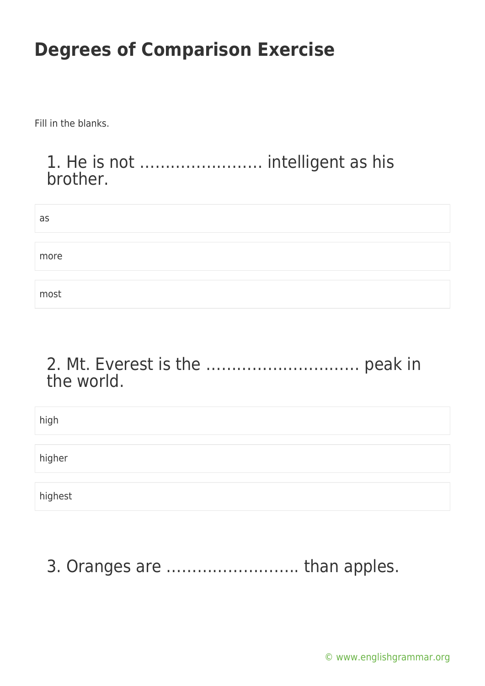Fill in the blanks.

#### 1. He is not …………………… intelligent as his brother.

| as   |  |  |
|------|--|--|
|      |  |  |
| more |  |  |
|      |  |  |
| most |  |  |

#### 2. Mt. Everest is the ………………………… peak in the world.

| high    |  |  |
|---------|--|--|
|         |  |  |
| higher  |  |  |
|         |  |  |
| highest |  |  |

### 3. Oranges are …………………….. than apples.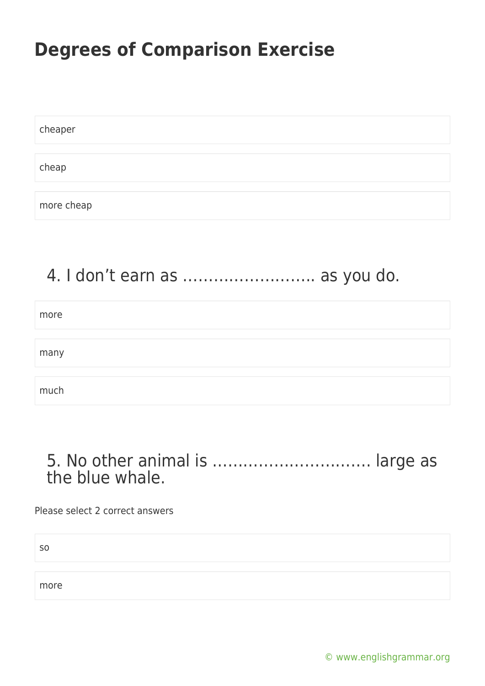| cheaper    |  |  |  |
|------------|--|--|--|
|            |  |  |  |
| cheap      |  |  |  |
|            |  |  |  |
| more cheap |  |  |  |

#### 4. I don't earn as …………………….. as you do.

| more |  |
|------|--|
|      |  |
| many |  |
|      |  |
| much |  |

#### 5. No other animal is …………………………. large as the blue whale.

Please select 2 correct answers

so

more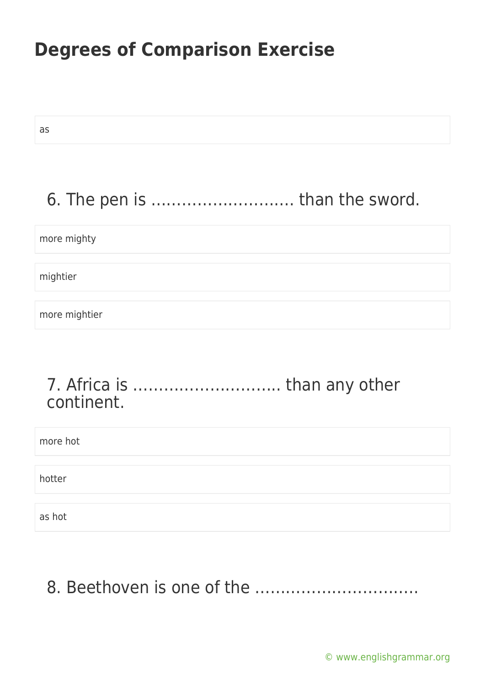as

# 6. The pen is ………………………. than the sword.

more mighty

mightier

more mightier

#### 7. Africa is ……………………….. than any other continent.

| more hot |  |
|----------|--|
|          |  |
| hotter   |  |
|          |  |
| as hot   |  |

# 8. Beethoven is one of the …………………………..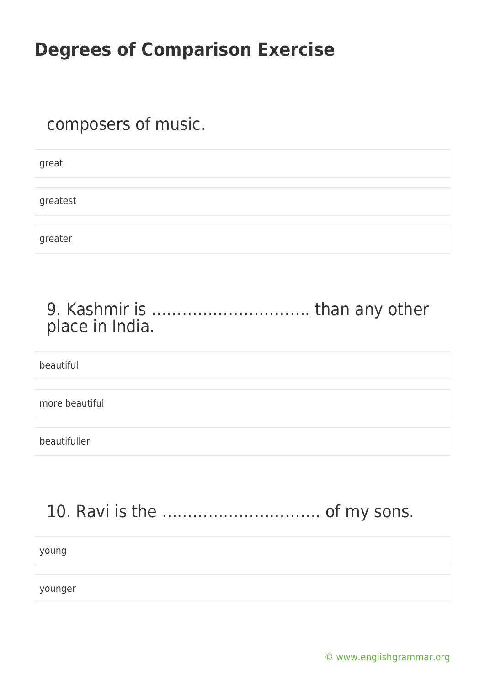#### composers of music.

great greatest greater

#### 9. Kashmir is …………………………. than any other place in India.

beautiful

more beautiful

beautifuller

### 10. Ravi is the …………………………. of my sons.

young

younger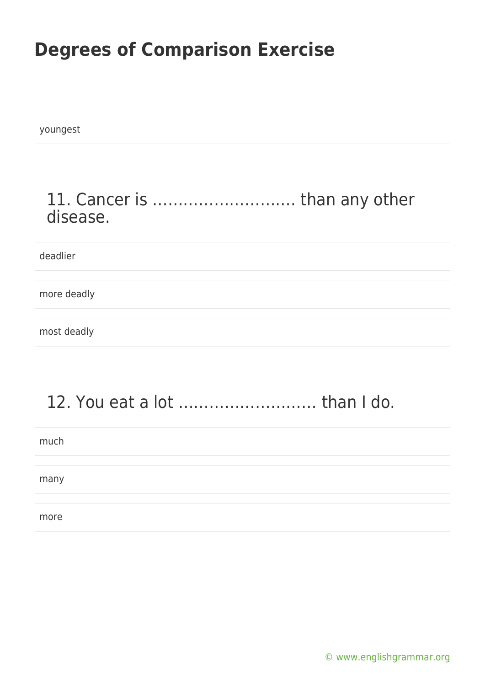youngest

#### 11. Cancer is ………………………. than any other disease.

deadlier

more deadly

most deadly

### 12. You eat a lot ……………………… than I do.

much

many

more

[© www.englishgrammar.org](https://www.englishgrammar.org/)